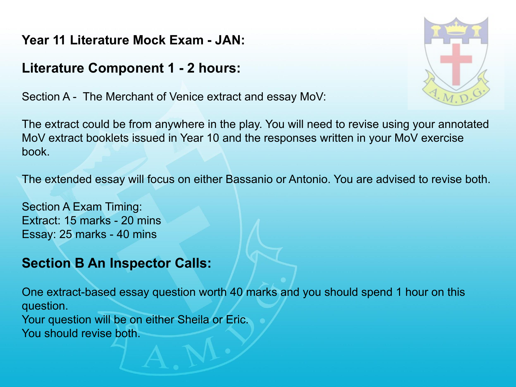**Year 11 Literature Mock Exam - JAN:**

## **Literature Component 1 - 2 hours:**

Section A - The Merchant of Venice extract and essay MoV:

The extract could be from anywhere in the play. You will need to revise using your annotated MoV extract booklets issued in Year 10 and the responses written in your MoV exercise book.

The extended essay will focus on either Bassanio or Antonio. You are advised to revise both.

Section A Exam Timing: Extract: 15 marks - 20 mins Essay: 25 marks - 40 mins

## **Section B An Inspector Calls:**

One extract-based essay question worth 40 marks and you should spend 1 hour on this question.

Your question will be on either Sheila or Eric. You should revise both.